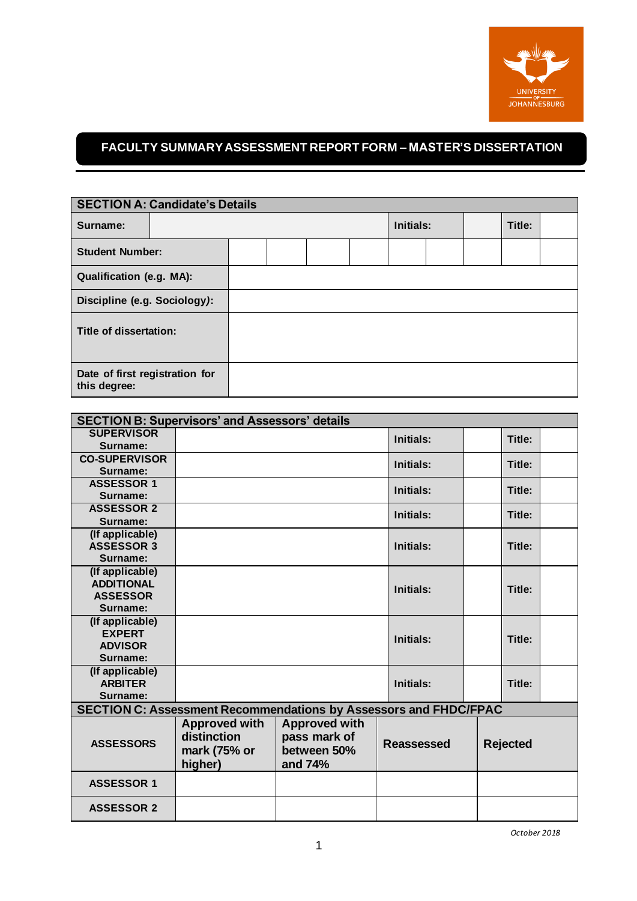

## **FACULTY SUMMARY ASSESSMENT REPORT FORM – MASTER'S DISSERTATION**

| <b>SECTION A: Candidate's Details</b>          |  |  |  |           |  |        |  |  |  |
|------------------------------------------------|--|--|--|-----------|--|--------|--|--|--|
| Surname:                                       |  |  |  | Initials: |  | Title: |  |  |  |
| <b>Student Number:</b>                         |  |  |  |           |  |        |  |  |  |
| <b>Qualification (e.g. MA):</b>                |  |  |  |           |  |        |  |  |  |
| Discipline (e.g. Sociology):                   |  |  |  |           |  |        |  |  |  |
| Title of dissertation:                         |  |  |  |           |  |        |  |  |  |
| Date of first registration for<br>this degree: |  |  |  |           |  |        |  |  |  |

| <b>SECTION B: Supervisors' and Assessors' details</b>                   |                      |                      |                   |        |                 |  |
|-------------------------------------------------------------------------|----------------------|----------------------|-------------------|--------|-----------------|--|
| <b>SUPERVISOR</b>                                                       |                      | <b>Initials:</b>     |                   | Title: |                 |  |
| Surname:                                                                |                      |                      |                   |        |                 |  |
| <b>CO-SUPERVISOR</b>                                                    |                      | Initials:            |                   | Title: |                 |  |
| Surname:                                                                |                      |                      |                   |        |                 |  |
| <b>ASSESSOR 1</b>                                                       |                      |                      | <b>Initials:</b>  |        | Title:          |  |
| Surname:                                                                |                      |                      |                   |        |                 |  |
| <b>ASSESSOR 2</b>                                                       |                      |                      | Initials:         |        | Title:          |  |
| Surname:                                                                |                      |                      |                   |        |                 |  |
| (If applicable)                                                         |                      |                      |                   |        |                 |  |
| <b>ASSESSOR 3</b>                                                       |                      |                      | Initials:         |        | Title:          |  |
|                                                                         | Surname:             |                      |                   |        |                 |  |
| (If applicable)                                                         |                      |                      |                   |        |                 |  |
| <b>ADDITIONAL</b>                                                       |                      |                      | Initials:         |        | Title:          |  |
| <b>ASSESSOR</b>                                                         |                      |                      |                   |        |                 |  |
| Surname:                                                                |                      |                      |                   |        |                 |  |
| (If applicable)                                                         |                      |                      |                   |        |                 |  |
| <b>EXPERT</b>                                                           |                      |                      | Initials:         |        | Title:          |  |
| <b>ADVISOR</b>                                                          |                      |                      |                   |        |                 |  |
| Surname:                                                                |                      |                      |                   |        |                 |  |
| (If applicable)                                                         |                      |                      |                   |        |                 |  |
| <b>ARBITER</b>                                                          |                      | <b>Initials:</b>     |                   | Title: |                 |  |
|                                                                         | Surname:             |                      |                   |        |                 |  |
| <b>SECTION C: Assessment Recommendations by Assessors and FHDC/FPAC</b> |                      |                      |                   |        |                 |  |
|                                                                         | <b>Approved with</b> | <b>Approved with</b> |                   |        |                 |  |
| <b>ASSESSORS</b>                                                        | distinction          | pass mark of         | <b>Reassessed</b> |        | <b>Rejected</b> |  |
|                                                                         | mark (75% or         | between 50%          |                   |        |                 |  |
|                                                                         | higher)              | and 74%              |                   |        |                 |  |
| <b>ASSESSOR 1</b>                                                       |                      |                      |                   |        |                 |  |
| <b>ASSESSOR 2</b>                                                       |                      |                      |                   |        |                 |  |